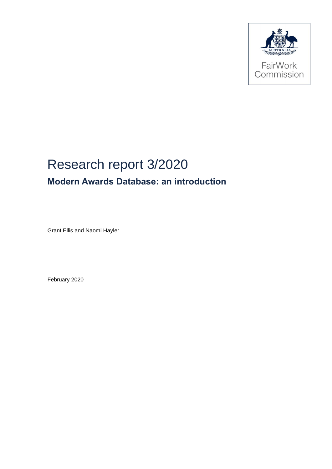

# Research report 3/2020 **Modern Awards Database: an introduction**

Grant Ellis and Naomi Hayler

February 2020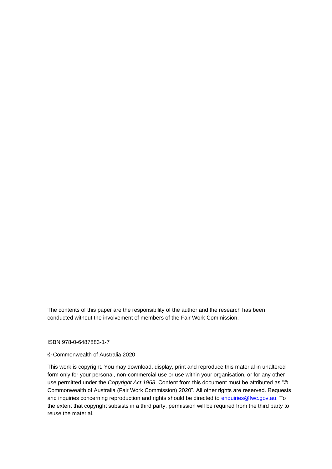The contents of this paper are the responsibility of the author and the research has been conducted without the involvement of members of the Fair Work Commission.

ISBN 978-0-6487883-1-7

#### © Commonwealth of Australia 2020

This work is copyright. You may download, display, print and reproduce this material in unaltered form only for your personal, non-commercial use or use within your organisation, or for any other use permitted under the *Copyright Act 1968*. Content from this document must be attributed as "© Commonwealth of Australia (Fair Work Commission) 2020". All other rights are reserved. Requests and inquiries concerning reproduction and rights should be directed to enquiries@fwc.gov.au. To the extent that copyright subsists in a third party, permission will be required from the third party to reuse the material.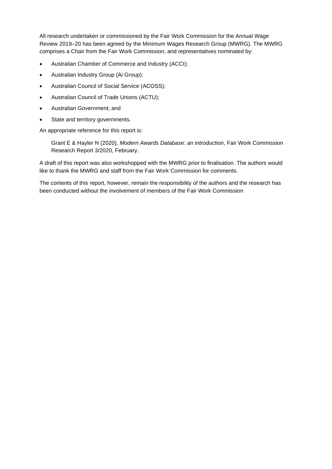All research undertaken or commissioned by the Fair Work Commission for the Annual Wage Review 2019–20 has been agreed by the Minimum Wages Research Group (MWRG). The MWRG comprises a Chair from the Fair Work Commission, and representatives nominated by:

- Australian Chamber of Commerce and Industry (ACCI);
- Australian Industry Group (Ai Group);
- Australian Council of Social Service (ACOSS);
- Australian Council of Trade Unions (ACTU);
- Australian Government; and
- State and territory governments.

An appropriate reference for this report is:

Grant E & Hayler N (2020), *Modern Awards Database: an introduction*, Fair Work Commission Research Report 3/2020, February.

A draft of this report was also workshopped with the MWRG prior to finalisation. The authors would like to thank the MWRG and staff from the Fair Work Commission for comments.

The contents of this report, however, remain the responsibility of the authors and the research has been conducted without the involvement of members of the Fair Work Commission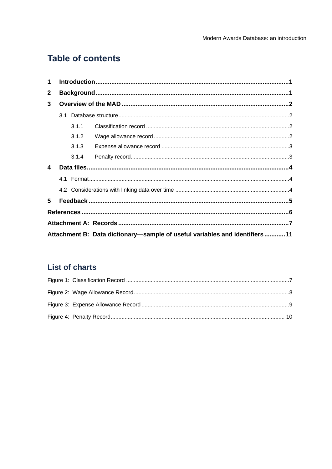# **Table of contents**

| 1            |  |       |                                                                            |  |  |  |  |  |  |  |  |
|--------------|--|-------|----------------------------------------------------------------------------|--|--|--|--|--|--|--|--|
| $\mathbf{2}$ |  |       |                                                                            |  |  |  |  |  |  |  |  |
| 3            |  |       |                                                                            |  |  |  |  |  |  |  |  |
|              |  |       |                                                                            |  |  |  |  |  |  |  |  |
|              |  | 3.1.1 |                                                                            |  |  |  |  |  |  |  |  |
|              |  | 3.1.2 |                                                                            |  |  |  |  |  |  |  |  |
|              |  | 3.1.3 |                                                                            |  |  |  |  |  |  |  |  |
|              |  | 3.1.4 |                                                                            |  |  |  |  |  |  |  |  |
| 4            |  |       |                                                                            |  |  |  |  |  |  |  |  |
|              |  |       |                                                                            |  |  |  |  |  |  |  |  |
|              |  |       |                                                                            |  |  |  |  |  |  |  |  |
| 5            |  |       |                                                                            |  |  |  |  |  |  |  |  |
|              |  |       |                                                                            |  |  |  |  |  |  |  |  |
|              |  |       |                                                                            |  |  |  |  |  |  |  |  |
|              |  |       | Attachment B: Data dictionary-sample of useful variables and identifiers11 |  |  |  |  |  |  |  |  |

# **List of charts**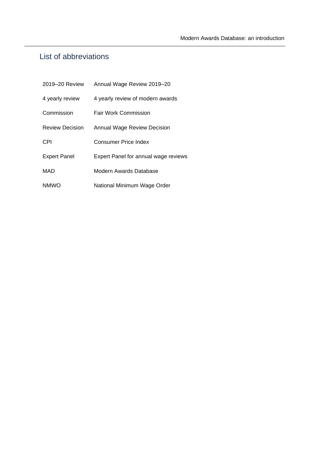# List of abbreviations

| 2019-20 Review         | Annual Wage Review 2019-20                  |
|------------------------|---------------------------------------------|
| 4 yearly review        | 4 yearly review of modern awards            |
| Commission             | <b>Fair Work Commission</b>                 |
| <b>Review Decision</b> | <b>Annual Wage Review Decision</b>          |
| CPI                    | Consumer Price Index                        |
| <b>Expert Panel</b>    | <b>Expert Panel for annual wage reviews</b> |
| MAD                    | Modern Awards Database                      |
| <b>NMWO</b>            | National Minimum Wage Order                 |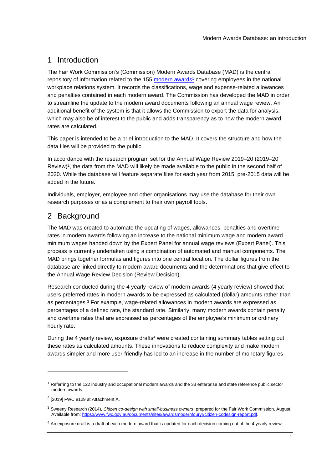# 1 Introduction

The Fair Work Commission's (Commission) Modern Awards Database (MAD) is the central repository of information related to the 155 [modern awards](https://www.fwc.gov.au/awards-and-agreements/awards/modern-awards/modern-awards-list)<sup>1</sup> covering employees in the national workplace relations system. It records the classifications, wage and expense-related allowances and penalties contained in each modern award. The Commission has developed the MAD in order to streamline the update to the modern award documents following an annual wage review. An additional benefit of the system is that it allows the Commission to export the data for analysis, which may also be of interest to the public and adds transparency as to how the modern award rates are calculated.

This paper is intended to be a brief introduction to the MAD. It covers the structure and how the data files will be provided to the public.

In accordance with the research program set for the Annual Wage Review 2019–20 (2019–20 Review)<sup>2</sup>, the data from the MAD will likely be made available to the public in the second half of 2020. While the database will feature separate files for each year from 2015, pre-2015 data will be added in the future.

Individuals, employer, employee and other organisations may use the database for their own research purposes or as a complement to their own payroll tools.

# 2 Background

The MAD was created to automate the updating of wages, allowances, penalties and overtime rates in modern awards following an increase to the national minimum wage and modern award minimum wages handed down by the Expert Panel for annual wage reviews (Expert Panel). This process is currently undertaken using a combination of automated and manual components. The MAD brings together formulas and figures into one central location. The dollar figures from the database are linked directly to modern award documents and the determinations that give effect to the Annual Wage Review Decision (Review Decision).

Research conducted during the 4 yearly review of modern awards (4 yearly review) showed that users preferred rates in modern awards to be expressed as calculated (dollar) amounts rather than as percentages.<sup>3</sup> For example, wage-related allowances in modern awards are expressed as percentages of a defined rate, the standard rate. Similarly, many modern awards contain penalty and overtime rates that are expressed as percentages of the employee's minimum or ordinary hourly rate.

During the 4 yearly review, exposure drafts<sup>4</sup> were created containing summary tables setting out these rates as calculated amounts. These innovations to reduce complexity and make modern awards simpler and more user-friendly has led to an increase in the number of monetary figures

 $1$  Referring to the 122 industry and occupational modern awards and the 33 enterprise and state reference public sector modern awards.

 $2$  [2019] FWC 8129 at Attachment A.

<sup>3</sup> Sweeny Research (2014), *Citizen co-design with small-business owners*, prepared for the Fair Work Commission, August. Available from[: https://www.fwc.gov.au/documents/sites/awardsmodernfouryr/citizen-codesign-report.pdf.](https://www.fwc.gov.au/documents/sites/awardsmodernfouryr/citizen-codesign-report.pdf)

<sup>&</sup>lt;sup>4</sup> An exposure draft is a draft of each modern award that is updated for each decision coming out of the 4 yearly review.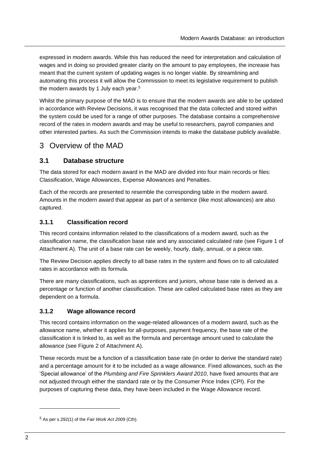expressed in modern awards. While this has reduced the need for interpretation and calculation of wages and in doing so provided greater clarity on the amount to pay employees, the increase has meant that the current system of updating wages is no longer viable. By streamlining and automating this process it will allow the Commission to meet its legislative requirement to publish the modern awards by 1 July each year.<sup>5</sup>

Whilst the primary purpose of the MAD is to ensure that the modern awards are able to be updated in accordance with Review Decisions, it was recognised that the data collected and stored within the system could be used for a range of other purposes. The database contains a comprehensive record of the rates in modern awards and may be useful to researchers, payroll companies and other interested parties. As such the Commission intends to make the database publicly available.

## 3 Overview of the MAD

### **3.1 Database structure**

The data stored for each modern award in the MAD are divided into four main records or files: Classification, Wage Allowances, Expense Allowances and Penalties.

Each of the records are presented to resemble the corresponding table in the modern award. Amounts in the modern award that appear as part of a sentence (like most allowances) are also captured.

#### **3.1.1 Classification record**

This record contains information related to the classifications of a modern award, such as the classification name, the classification base rate and any associated calculated rate (see Figure 1 of Attachment A). The unit of a base rate can be weekly, hourly, daily, annual, or a piece rate.

The Review Decision applies directly to all base rates in the system and flows on to all calculated rates in accordance with its formula.

There are many classifications, such as apprentices and juniors, whose base rate is derived as a percentage or function of another classification. These are called calculated base rates as they are dependent on a formula.

#### **3.1.2 Wage allowance record**

This record contains information on the wage-related allowances of a modern award, such as the allowance name, whether it applies for all-purposes, payment frequency, the base rate of the classification it is linked to, as well as the formula and percentage amount used to calculate the allowance (see Figure 2 of Attachment A).

These records must be a function of a classification base rate (in order to derive the standard rate) and a percentage amount for it to be included as a wage allowance. Fixed allowances, such as the 'Special allowance' of the *Plumbing and Fire Sprinklers Award 2010*, have fixed amounts that are not adjusted through either the standard rate or by the Consumer Price Index (CPI). For the purposes of capturing these data, they have been included in the Wage Allowance record.

<sup>5</sup> As per s.292(1) of the *Fair Work Act 2009* (Cth).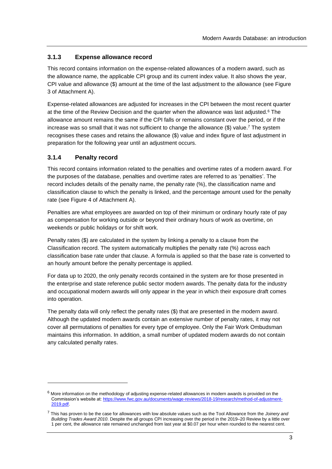### **3.1.3 Expense allowance record**

This record contains information on the expense-related allowances of a modern award, such as the allowance name, the applicable CPI group and its current index value. It also shows the year, CPI value and allowance (\$) amount at the time of the last adjustment to the allowance (see Figure 3 of Attachment A).

Expense-related allowances are adjusted for increases in the CPI between the most recent quarter at the time of the Review Decision and the quarter when the allowance was last adjusted.<sup>6</sup> The allowance amount remains the same if the CPI falls or remains constant over the period, or if the increase was so small that it was not sufficient to change the allowance (\$) value. <sup>7</sup> The system recognises these cases and retains the allowance (\$) value and index figure of last adjustment in preparation for the following year until an adjustment occurs.

#### **3.1.4 Penalty record**

This record contains information related to the penalties and overtime rates of a modern award. For the purposes of the database, penalties and overtime rates are referred to as 'penalties'. The record includes details of the penalty name, the penalty rate (%), the classification name and classification clause to which the penalty is linked, and the percentage amount used for the penalty rate (see Figure 4 of Attachment A).

Penalties are what employees are awarded on top of their minimum or ordinary hourly rate of pay as compensation for working outside or beyond their ordinary hours of work as overtime, on weekends or public holidays or for shift work.

Penalty rates (\$) are calculated in the system by linking a penalty to a clause from the Classification record. The system automatically multiplies the penalty rate (%) across each classification base rate under that clause. A formula is applied so that the base rate is converted to an hourly amount before the penalty percentage is applied.

For data up to 2020, the only penalty records contained in the system are for those presented in the enterprise and state reference public sector modern awards. The penalty data for the industry and occupational modern awards will only appear in the year in which their exposure draft comes into operation.

The penalty data will only reflect the penalty rates (\$) that are presented in the modern award. Although the updated modern awards contain an extensive number of penalty rates, it may not cover all permutations of penalties for every type of employee. Only the Fair Work Ombudsman maintains this information. In addition, a small number of updated modern awards do not contain any calculated penalty rates.

 $6$  More information on the methodology of adjusting expense-related allowances in modern awards is provided on the Commission's website at[: https://www.fwc.gov.au/documents/wage-reviews/2018-19/research/method-of-adjustment-](https://www.fwc.gov.au/documents/wage-reviews/2018-19/research/method-of-adjustment-2019.pdf)[2019.pdf.](https://www.fwc.gov.au/documents/wage-reviews/2018-19/research/method-of-adjustment-2019.pdf) 

<sup>7</sup> This has proven to be the case for allowances with low absolute values such as the Tool Allowance from the *Joinery and Building Trades Award 2010*. Despite the all groups CPI increasing over the period in the 2019–20 Review by a little over 1 per cent, the allowance rate remained unchanged from last year at \$0.07 per hour when rounded to the nearest cent.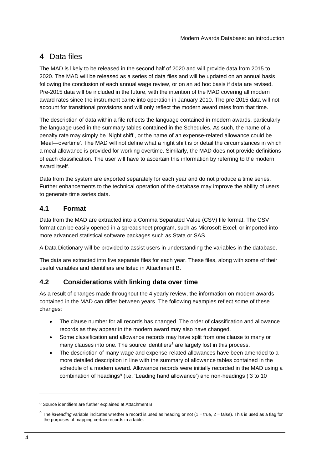# 4 Data files

The MAD is likely to be released in the second half of 2020 and will provide data from 2015 to 2020. The MAD will be released as a series of data files and will be updated on an annual basis following the conclusion of each annual wage review, or on an ad hoc basis if data are revised. Pre-2015 data will be included in the future, with the intention of the MAD covering all modern award rates since the instrument came into operation in January 2010. The pre-2015 data will not account for transitional provisions and will only reflect the modern award rates from that time.

The description of data within a file reflects the language contained in modern awards, particularly the language used in the summary tables contained in the Schedules. As such, the name of a penalty rate may simply be 'Night shift', or the name of an expense-related allowance could be 'Meal—overtime'. The MAD will not define what a night shift is or detail the circumstances in which a meal allowance is provided for working overtime. Similarly, the MAD does not provide definitions of each classification. The user will have to ascertain this information by referring to the modern award itself.

Data from the system are exported separately for each year and do not produce a time series. Further enhancements to the technical operation of the database may improve the ability of users to generate time series data.

### **4.1 Format**

Data from the MAD are extracted into a Comma Separated Value (CSV) file format. The CSV format can be easily opened in a spreadsheet program, such as Microsoft Excel, or imported into more advanced statistical software packages such as Stata or SAS.

A Data Dictionary will be provided to assist users in understanding the variables in the database.

The data are extracted into five separate files for each year. These files, along with some of their useful variables and identifiers are listed in Attachment B.

### **4.2 Considerations with linking data over time**

As a result of changes made throughout the 4 yearly review, the information on modern awards contained in the MAD can differ between years. The following examples reflect some of these changes:

- The clause number for all records has changed. The order of classification and allowance records as they appear in the modern award may also have changed.
- Some classification and allowance records may have split from one clause to many or many clauses into one. The source identifiers<sup>8</sup> are largely lost in this process.
- The description of many wage and expense-related allowances have been amended to a more detailed description in line with the summary of allowance tables contained in the schedule of a modern award. Allowance records were initially recorded in the MAD using a combination of headings<sup>9</sup> (i.e. 'Leading hand allowance') and non-headings ('3 to 10

<sup>8</sup> Source identifiers are further explained at Attachment B.

<sup>9</sup> The *isHeading* variable indicates whether a record is used as heading or not (1 = true, 2 = false). This is used as a flag for the purposes of mapping certain records in a table.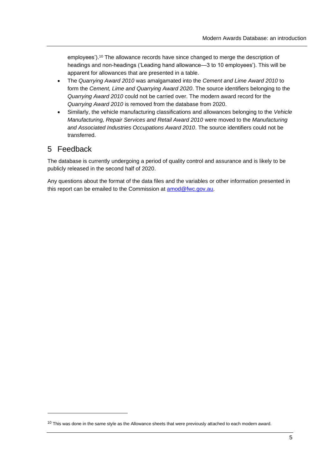employees').<sup>10</sup> The allowance records have since changed to merge the description of headings and non-headings ('Leading hand allowance—3 to 10 employees'). This will be apparent for allowances that are presented in a table.

- The *Quarrying Award 2010* was amalgamated into the *Cement and Lime Award 2010* to form the *Cement, Lime and Quarrying Award 2020*. The source identifiers belonging to the *Quarrying Award 2010* could not be carried over. The modern award record for the *Quarrying Award 2010* is removed from the database from 2020.
- Similarly, the vehicle manufacturing classifications and allowances belonging to the *Vehicle Manufacturing, Repair Services and Retail Award 2010* were moved to the *Manufacturing and Associated Industries Occupations Award 2010*. The source identifiers could not be transferred.

### 5 Feedback

The database is currently undergoing a period of quality control and assurance and is likely to be publicly released in the second half of 2020.

Any questions about the format of the data files and the variables or other information presented in this report can be emailed to the Commission at [amod@fwc.gov.au.](mailto:amod@fwc.gov.au)

 $10$  This was done in the same style as the Allowance sheets that were previously attached to each modern award.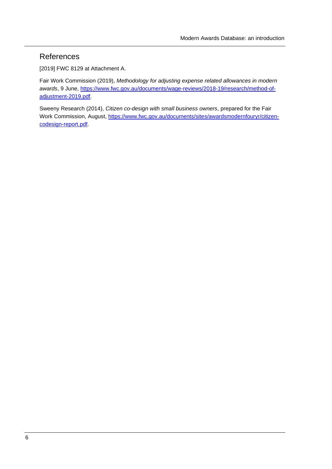# References

[2019] FWC 8129 at Attachment A.

Fair Work Commission (2019), *Methodology for adjusting expense related allowances in modern awards*, 9 June, [https://www.fwc.gov.au/documents/wage-reviews/2018-19/research/method-of](https://www.fwc.gov.au/documents/wage-reviews/2018-19/research/method-of-adjustment-2019.pdf)[adjustment-2019.pdf.](https://www.fwc.gov.au/documents/wage-reviews/2018-19/research/method-of-adjustment-2019.pdf)

Sweeny Research (2014), *Citizen co-design with small business owners*, prepared for the Fair Work Commission, August, [https://www.fwc.gov.au/documents/sites/awardsmodernfouryr/citizen](https://www.fwc.gov.au/documents/sites/awardsmodernfouryr/citizen-codesign-report.pdf)[codesign-report.pdf.](https://www.fwc.gov.au/documents/sites/awardsmodernfouryr/citizen-codesign-report.pdf)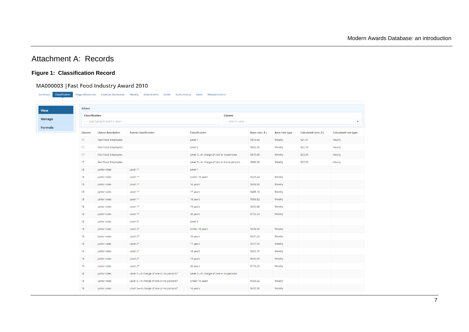## Attachment A: Records

#### **Figure 1: Classification Record**

#### MA000003 | Fast Food Industry Award 2010

<span id="page-12-0"></span>

| Classification<br>Summary |                | Wage Allowances Expense Allowances Penalty                       | Attachments<br><b>Notes</b>             | Audit History News<br><b>Related Actions</b> |                |                |                       |                      |                      |  |  |
|---------------------------|----------------|------------------------------------------------------------------|-----------------------------------------|----------------------------------------------|----------------|----------------|-----------------------|----------------------|----------------------|--|--|
|                           | <b>Filters</b> |                                                                  |                                         |                                              |                |                |                       |                      |                      |  |  |
|                           | Classification |                                                                  |                                         |                                              | <b>Clauses</b> |                |                       |                      |                      |  |  |
| <b>Manage</b>             |                | --- Select a value ---<br>--- Start typing to select a value --- |                                         |                                              |                |                |                       |                      |                      |  |  |
| Formula                   | Clauses        | <b>Clause description</b>                                        | <b>Parent classification</b>            | Classification                               |                | Base rate (\$) | <b>Base rate type</b> | Calculated rate (\$) | Calculated rate type |  |  |
|                           | 17             | Fast Food Employees                                              |                                         | Level 1                                      |                | \$813.60       | Weekly                | \$21.41              | Hourly               |  |  |
|                           | 17             | <b>Fast Food Employees</b>                                       |                                         | Level 2                                      |                | \$862.50       | Weekly                | \$22.70              | Hourly               |  |  |
|                           | 17             | <b>Fast Food Employees</b>                                       |                                         | Level 3-In charge of one or no persons       |                | \$875.80       | Weekly                | \$23.05              | Hourly               |  |  |
|                           | 17             | <b>Fast Food Employees</b>                                       |                                         | Level 3-In charge of two or more persons     |                | \$886.50       | Weekly                | \$23.33              | Hourly               |  |  |
|                           | 18             | Junior rates                                                     | Level 1*                                | Level 1                                      |                |                |                       |                      |                      |  |  |
|                           | 18             | Junior rates                                                     | Level 1*                                | Under 16 years                               |                | \$325.44       | Weekly                |                      |                      |  |  |
|                           | 18             | Junior rates                                                     | Level 1*                                | 16 years                                     |                | \$406.80       | Weekly                |                      |                      |  |  |
|                           | 18             | Junior rates                                                     | Level 1*                                | 17 years                                     |                | \$488.16       | Weekly                |                      |                      |  |  |
|                           | 18             | Junior rates                                                     | Level 1*                                | 18 years                                     |                | \$569.52       | Weekly                |                      |                      |  |  |
|                           | 18             | Junior rates                                                     | Level 1*                                | 19 years                                     |                | \$650.88       | Weekly                |                      |                      |  |  |
|                           | 18             | Junior rates                                                     | Level 1*                                | 20 years                                     |                | \$732.24       | Weekly                |                      |                      |  |  |
|                           | 18             | Junior rates                                                     | Level 2*                                | Level 2                                      |                |                |                       |                      |                      |  |  |
|                           | 18             | Junior rates                                                     | Level 2*                                | Under 16 years                               |                | \$345.00       | Weekly                |                      |                      |  |  |
|                           | 18             | Junior rates                                                     | Level 2*                                | 16 years                                     |                | \$431.25       | Weekly                |                      |                      |  |  |
|                           | 18             | Junior rates                                                     | Level 2*                                | 17 years                                     |                | \$517.50       | Weekly                |                      |                      |  |  |
|                           | 18             | Junior rates                                                     | Level 2*                                | 18 years                                     |                | \$603.75       | Weekly                |                      |                      |  |  |
|                           | 18             | Junior rates                                                     | Level 2*                                | 19 years                                     |                | \$690.00       | Weekly                |                      |                      |  |  |
|                           | 18             | Junior rates                                                     | Level 2*                                | 20 years                                     |                | \$776.25       | Weekly                |                      |                      |  |  |
|                           | 18             | Junior rates                                                     | Level 3-In charge of one or no persons* | Level 3-In charge of one or no persons       |                |                |                       |                      |                      |  |  |
|                           | 18             | Junior rates                                                     | Level 3-In charge of one or no persons* | Under 16 years                               |                | \$350.32       | Weekly                |                      |                      |  |  |
|                           | 18             | Junior rates                                                     | Level 3-In charge of one or no persons* | 16 years                                     |                | \$437.90       | Weekly                |                      |                      |  |  |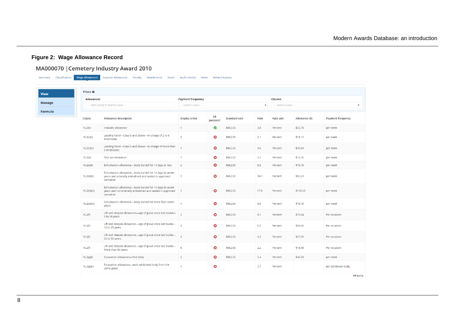### **Figure 2: Wage Allowance Record**

**Contract** 

### MA000070 | Cemetery Industry Award 2010

<span id="page-13-0"></span>

| Filters <sup>O</sup> |                                                                                                                                  |                          |                       |                      |                                          |           |                |                          |
|----------------------|----------------------------------------------------------------------------------------------------------------------------------|--------------------------|-----------------------|----------------------|------------------------------------------|-----------|----------------|--------------------------|
| <b>Allowances</b>    |                                                                                                                                  | <b>Payment frequency</b> |                       |                      | <b>Clauses</b><br>--- Select a value --- |           |                |                          |
|                      | --- Start typing to select a value ---                                                                                           | --- Select a value ---   |                       |                      |                                          |           |                |                          |
| Clause               | <b>Allowance description</b>                                                                                                     | Display order            | All<br>purpose?       | <b>Standard rate</b> | Rate                                     | Rate unit | Allowance (\$) | <b>Payment frequency</b> |
| 16.2(b)              | Industry allowance                                                                                                               | $\mathbf{1}$             | ◙                     | \$862.50             | 3.8                                      | Percent   | \$32.78        | per week                 |
| 16.2(c)(i)           | Leading hand-Class 5 and above-in charge of 2 to 6<br>employees                                                                  | $\overline{2}$           | ☺                     | \$862.50             | 2.1                                      | Percent   | \$18.11        | per week                 |
| 16.2(c)(ii)          | Leading hand-Class 5 and above-in charge of more than<br>6 employees                                                             |                          | Ø                     | \$862.50             | 4.6                                      | Percent   | \$39.68        | per week                 |
| 16.2(d)              | First aid allowance                                                                                                              | $\overline{1}$           | Ø                     | \$862.50             | 1.2                                      | Percent   | \$10.35        | per week                 |
| 16.2(e)(i)           | Exhumation allowance-body buried for 14 days or less                                                                             | $\overline{2}$           | 0                     | \$862.50             | 8.9                                      | Percent   | \$76.76        | per week                 |
| 16.2(e)(ii)          | Exhumation allowance-body buried for 14 days to seven<br>years and arterially embalmed and sealed in approved<br>container       | $\overline{1}$           | $\boldsymbol{\omega}$ | \$862.50             | 10.7                                     | Percent   | \$92.29        | per week                 |
| 16.2(e)(iii)         | Exhumation allowance-body buried for 14 days to seven<br>years and not arterially embalmed and sealed in approved 1<br>container |                          | Ø                     | \$862.50             | 17.8                                     | Percent   | \$153.53       | per week                 |
| 16.2(e)(iv)          | Exhumation allowance-body buried for more than seven<br>years                                                                    |                          | Ø                     | \$862.50             | 8.9                                      | Percent   | \$76.76        | per week                 |
| 16.2(f)              | Lift and deepen allowance-age of grave since last burial-<br>5 to 10 years                                                       | $\overline{2}$           | Ø                     | \$862.50             | 8.7                                      | Percent   | \$75.04        | Per occasion             |
| 16.2(f)              | Lift and deepen allowance-age of grave since last burial-<br>10 to 25 years                                                      | $\overline{\mathbf{3}}$  | $\boldsymbol{\omega}$ | \$862.50             | 6.5                                      | Percent   | \$56.06        | Per occasion             |
| 16.2(f)              | Lift and deepen allowance-age of grave since last burial-<br>25 to 50 years                                                      | $\overline{A}$           | Ø                     | \$862.50             | 4.3                                      | Percent   | \$37.09        | Per occasion             |
| 16.2(f)              | Lift and deepen allowance-age of grave since last burial-<br>More than 50 years                                                  | $\overline{5}$           | Ø                     | \$862.50             | 2.2                                      | Percent   | \$18.98        | Per occasion             |
| 16.2(g)(i)           | Excavation allowance-first body                                                                                                  | $\overline{2}$           | Ø                     | \$862.50             | 5.4                                      | Percent   | \$46.58        | per week                 |
| 16.2(g)(ii)          | Excavation allowance-each additional body from the<br>same grave                                                                 | $\overline{1}$           | ☺                     |                      | 2.7                                      | Percent   |                | per additional body      |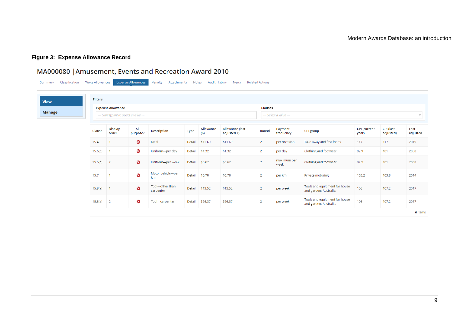### **Figure 3: Expense Allowance Record**

# MA000080 | Amusement, Events and Recreation Award 2010

<span id="page-14-0"></span>

| Classification<br>Summary | <b>Wage Allowances</b> |                                                                    | <b>Expense Allowances</b> | Penalty<br>Attachments       | <b>Notes</b> | <b>Audit History</b> | <b>News</b>                            | <b>Related Actions</b> |                                                                  |                                                         |                              |                               |                  |  |  |
|---------------------------|------------------------|--------------------------------------------------------------------|---------------------------|------------------------------|--------------|----------------------|----------------------------------------|------------------------|------------------------------------------------------------------|---------------------------------------------------------|------------------------------|-------------------------------|------------------|--|--|
| <b>View</b>               | <b>Filters</b>         |                                                                    |                           |                              |              |                      |                                        |                        |                                                                  |                                                         |                              |                               |                  |  |  |
| <b>Manage</b>             |                        | <b>Expense allowance</b><br>--- Start typing to select a value --- |                           |                              |              |                      |                                        |                        | <b>Clauses</b><br>--- Select a value ---<br>$\blacktriangledown$ |                                                         |                              |                               |                  |  |  |
|                           | Clause                 | <b>Display</b><br>order                                            | All<br>purpose?           | <b>Description</b>           | <b>Type</b>  | Allowance<br>(5)     | <b>Allowance (last</b><br>adjusted \$) | Round                  | Payment<br>frequency                                             | <b>CPI group</b>                                        | <b>CPI</b> (current<br>year) | <b>CPI</b> (last<br>adjusted) | Last<br>adjusted |  |  |
|                           | 15.4                   |                                                                    | $\bullet$                 | Meal                         | Detail       | \$11.69              | \$11.69                                | $\overline{2}$         | per occasion                                                     | Take away and fast foods                                | 117                          | 117                           | 2019             |  |  |
|                           | 15.6(b)                | $\blacksquare$                                                     | $\bullet$                 | Uniform-per day              | Detail       | \$1.32               | \$1.32                                 | $\overline{2}$         | per day                                                          | Clothing and footwear                                   | 92.9                         | 101                           | 2008             |  |  |
|                           | $15.6(b)$ 2            |                                                                    | $\bullet$                 | Uniform-per week             | Detail       | \$6.62               | \$6.62                                 | $\overline{2}$         | maximum per<br>week                                              | Clothing and footwear                                   | 92.9                         | 101                           | 2008             |  |  |
|                           | 15.7                   |                                                                    | ☺                         | Motor vehicle-per<br>km      | Detail       | \$0.78               | \$0.78                                 | $\overline{2}$         | per km                                                           | Private motoring                                        | 103.2                        | 103.8                         | 2014             |  |  |
|                           | $15.8(a)$ 1            |                                                                    | $\boldsymbol{\omega}$     | Tool-other than<br>carpenter | Detail       | \$13.52              | \$13.52                                | $\overline{2}$         | per week                                                         | Tools and equipment for house<br>and garden; Australia; | 106                          | 107.2                         | 2017             |  |  |
|                           | 15.8(a)                | $\overline{2}$                                                     | $\bullet$                 | Tool-carpenter               | Detail       | \$26.37              | \$26.37                                | $\overline{2}$         | per week                                                         | Tools and equipment for house<br>and garden; Australia; | 106                          | 107.2                         | 2017             |  |  |
|                           |                        |                                                                    |                           |                              |              |                      |                                        |                        |                                                                  |                                                         |                              |                               | 6 items          |  |  |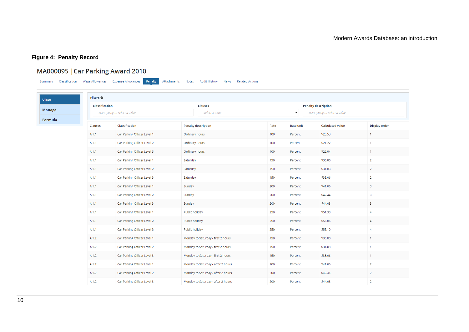#### **Figure 4: Penalty Record**

# MA000095 | Car Parking Award 2010

Summary Classification Wage Allowances Expense Allowances **Penalty** Attachments Notes Audit History News Related Actions

View **Manage** 

<span id="page-15-0"></span>Formula

| Classification |                                        | <b>Clauses</b>                     |      | <b>Penalty description</b>             |  |                         |                         |
|----------------|----------------------------------------|------------------------------------|------|----------------------------------------|--|-------------------------|-------------------------|
|                | --- Start typing to select a value --- | --- Select a value ---             |      | --- Start typing to select a value --- |  |                         |                         |
| Clauses        | Classification                         | <b>Penalty description</b>         | Rate | Rate unit                              |  | <b>Calculated value</b> | <b>Display order</b>    |
| A.1.1          | Car Parking Officer Level 1            | Ordinary hours                     | 100  | Percent                                |  | \$20.53                 | 1                       |
| A.1.1          | Car Parking Officer Level 2            | Ordinary hours                     | 100  | Percent                                |  | \$21.22                 | $\mathbf{1}$            |
| A.1.1          | Car Parking Officer Level 3            | Ordinary hours                     | 100  | Percent                                |  | \$22.04                 | $\mathbf{1}$            |
| A.1.1          | Car Parking Officer Level 1            | Saturday                           | 150  | Percent                                |  | \$30.80                 | $\overline{2}$          |
| A.1.1          | Car Parking Officer Level 2            | Saturday                           | 150  | Percent                                |  | \$31.83                 | $\overline{2}$          |
| A.1.1          | Car Parking Officer Level 3            | Saturday                           | 150  | Percent                                |  | \$33.06                 | $\overline{2}$          |
| A.1.1          | Car Parking Officer Level 1            | Sunday                             | 200  | Percent                                |  | \$41.06                 | $\overline{\mathbf{3}}$ |
| A.1.1          | Car Parking Officer Level 2            | Sunday                             | 200  | Percent                                |  | \$42.44                 | 3                       |
| A.1.1          | Car Parking Officer Level 3            | Sunday                             | 200  | Percent                                |  | \$44.08                 | $\overline{3}$          |
| A.1.1          | Car Parking Officer Level 1            | Public holiday                     | 250  | Percent                                |  | \$51.33                 | $\overline{4}$          |
| A.1.1          | Car Parking Officer Level 2            | Public holiday                     | 250  | Percent                                |  | \$53.05                 | $\overline{4}$          |
| A.1.1          | Car Parking Officer Level 3            | Public holiday                     | 250  | Percent                                |  | \$55.10                 | $\overline{4}$          |
| A.1.2          | Car Parking Officer Level 1            | Monday to Saturday - first 2 hours | 150  | Percent                                |  | \$30.80                 | $\mathbf{1}$            |
| A.1.2          | Car Parking Officer Level 2            | Monday to Saturday - first 2 hours | 150  | Percent                                |  | \$31.83                 | $\mathbf{1}$            |
| A.1.2          | Car Parking Officer Level 3            | Monday to Saturday - first 2 hours | 150  | Percent                                |  | \$33.06                 | $\mathbf{1}$            |
| A.1.2          | Car Parking Officer Level 1            | Monday to Saturday - after 2 hours | 200  | Percent                                |  | \$41.06                 | $\overline{2}$          |
| A.1.2          | Car Parking Officer Level 2            | Monday to Saturday - after 2 hours | 200  | Percent                                |  | \$42.44                 | $\overline{2}$          |
| A.1.2          | Car Parking Officer Level 3            | Monday to Saturday - after 2 hours | 200  | Percent                                |  | \$44.08                 | $\overline{2}$          |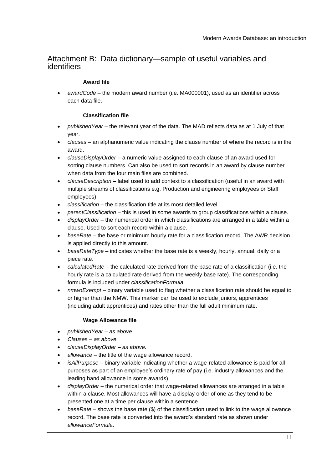### Attachment B: Data dictionary—sample of useful variables and identifiers

#### **Award file**

• *awardCode* – the modern award number (i.e. MA000001), used as an identifier across each data file.

#### **Classification file**

- *publishedYear* the relevant year of the data. The MAD reflects data as at 1 July of that year.
- *clauses –* an alphanumeric value indicating the clause number of where the record is in the award.
- *clauseDisplayOrder* a numeric value assigned to each clause of an award used for sorting clause numbers. Can also be used to sort records in an award by clause number when data from the four main files are combined.
- *clauseDescription*  label used to add context to a classification (useful in an award with multiple streams of classifications e.g. Production and engineering employees or Staff employees)
- *classification* the classification title at its most detailed level.
- *parentClassification* this is used in some awards to group classifications within a clause.
- *displayOrder* the numerical order in which classifications are arranged in a table within a clause. Used to sort each record within a clause.
- *baseRate*  the base or minimum hourly rate for a classification record. The AWR decision is applied directly to this amount.
- *baseRateType* indicates whether the base rate is a weekly, hourly, annual, daily or a piece rate.
- *calculatedRate* the calculated rate derived from the base rate of a classification (i.e. the hourly rate is a calculated rate derived from the weekly base rate). The corresponding formula is included under *classificationFormula*.
- *nmwoExempt*  binary variable used to flag whether a classification rate should be equal to or higher than the NMW. This marker can be used to exclude juniors, apprentices (including adult apprentices) and rates other than the full adult minimum rate.

#### **Wage Allowance file**

- *publishedYear – as above.*
- *Clauses – as above.*
- *clauseDisplayOrder – as above.*
- *allowance*  the title of the wage allowance record.
- *isAllPurpose* binary variable indicating whether a wage-related allowance is paid for all purposes as part of an employee's ordinary rate of pay (i.e. industry allowances and the leading hand allowance in some awards).
- *displayOrder* the numerical order that wage-related allowances are arranged in a table within a clause. Most allowances will have a display order of one as they tend to be presented one at a time per clause within a sentence.
- *baseRate*  shows the base rate (\$) of the classification used to link to the wage allowance record. The base rate is converted into the award's standard rate as shown under *allowanceFormula*.